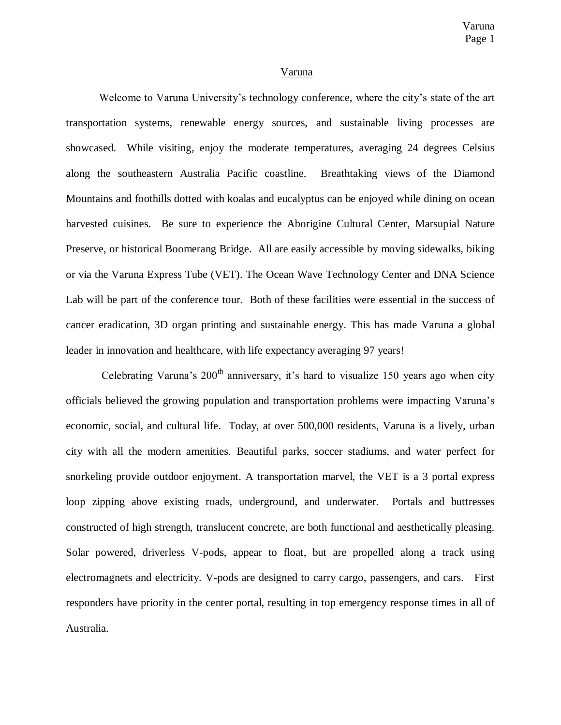## Varuna

Welcome to Varuna University's technology conference, where the city's state of the art transportation systems, renewable energy sources, and sustainable living processes are showcased. While visiting, enjoy the moderate temperatures, averaging 24 degrees Celsius along the southeastern Australia Pacific coastline. Breathtaking views of the Diamond Mountains and foothills dotted with koalas and eucalyptus can be enjoyed while dining on ocean harvested cuisines. Be sure to experience the Aborigine Cultural Center, Marsupial Nature Preserve, or historical Boomerang Bridge. All are easily accessible by moving sidewalks, biking or via the Varuna Express Tube (VET). The Ocean Wave Technology Center and DNA Science Lab will be part of the conference tour. Both of these facilities were essential in the success of cancer eradication, 3D organ printing and sustainable energy. This has made Varuna a global leader in innovation and healthcare, with life expectancy averaging 97 years!

Celebrating Varuna's  $200<sup>th</sup>$  anniversary, it's hard to visualize 150 years ago when city officials believed the growing population and transportation problems were impacting Varuna's economic, social, and cultural life. Today, at over 500,000 residents, Varuna is a lively, urban city with all the modern amenities. Beautiful parks, soccer stadiums, and water perfect for snorkeling provide outdoor enjoyment. A transportation marvel, the VET is a 3 portal express loop zipping above existing roads, underground, and underwater. Portals and buttresses constructed of high strength, translucent concrete, are both functional and aesthetically pleasing. Solar powered, driverless V-pods, appear to float, but are propelled along a track using electromagnets and electricity. V-pods are designed to carry cargo, passengers, and cars. First responders have priority in the center portal, resulting in top emergency response times in all of Australia.